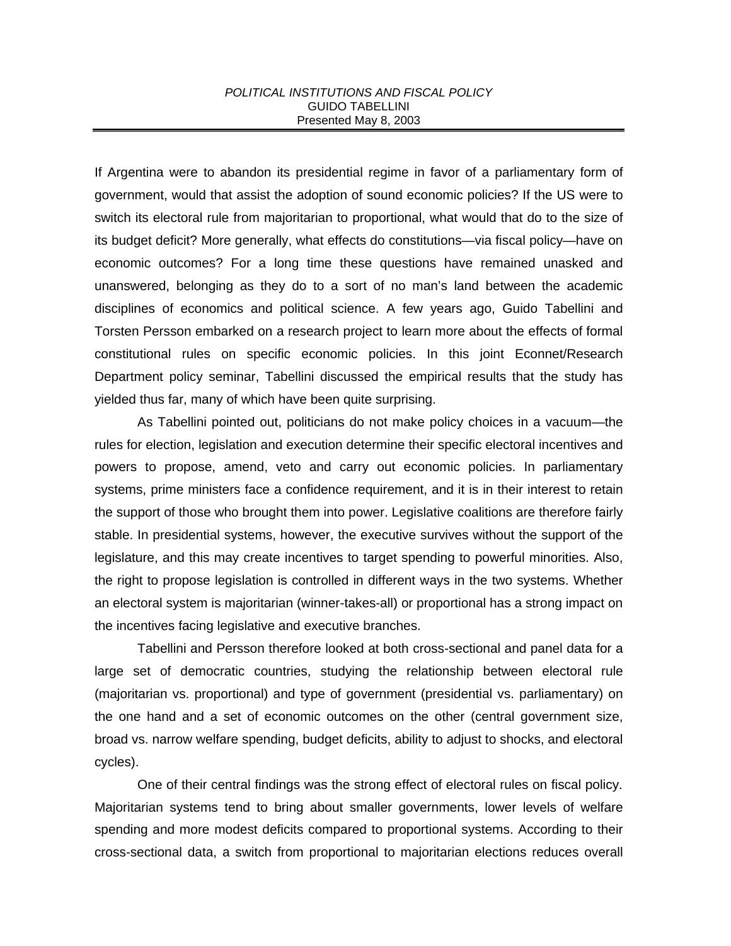## *POLITICAL INSTITUTIONS AND FISCAL POLICY* GUIDO TABELLINI Presented May 8, 2003

If Argentina were to abandon its presidential regime in favor of a parliamentary form of government, would that assist the adoption of sound economic policies? If the US were to switch its electoral rule from majoritarian to proportional, what would that do to the size of its budget deficit? More generally, what effects do constitutions—via fiscal policy—have on economic outcomes? For a long time these questions have remained unasked and unanswered, belonging as they do to a sort of no man's land between the academic disciplines of economics and political science. A few years ago, Guido Tabellini and Torsten Persson embarked on a research project to learn more about the effects of formal constitutional rules on specific economic policies. In this joint Econnet/Research Department policy seminar, Tabellini discussed the empirical results that the study has yielded thus far, many of which have been quite surprising.

As Tabellini pointed out, politicians do not make policy choices in a vacuum—the rules for election, legislation and execution determine their specific electoral incentives and powers to propose, amend, veto and carry out economic policies. In parliamentary systems, prime ministers face a confidence requirement, and it is in their interest to retain the support of those who brought them into power. Legislative coalitions are therefore fairly stable. In presidential systems, however, the executive survives without the support of the legislature, and this may create incentives to target spending to powerful minorities. Also, the right to propose legislation is controlled in different ways in the two systems. Whether an electoral system is majoritarian (winner-takes-all) or proportional has a strong impact on the incentives facing legislative and executive branches.

Tabellini and Persson therefore looked at both cross-sectional and panel data for a large set of democratic countries, studying the relationship between electoral rule (majoritarian vs. proportional) and type of government (presidential vs. parliamentary) on the one hand and a set of economic outcomes on the other (central government size, broad vs. narrow welfare spending, budget deficits, ability to adjust to shocks, and electoral cycles).

One of their central findings was the strong effect of electoral rules on fiscal policy. Majoritarian systems tend to bring about smaller governments, lower levels of welfare spending and more modest deficits compared to proportional systems. According to their cross-sectional data, a switch from proportional to majoritarian elections reduces overall